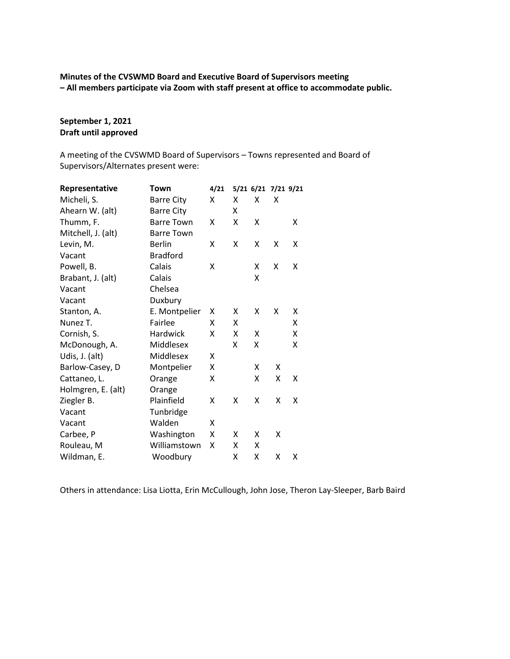# **Minutes of the CVSWMD Board and Executive Board of Supervisors meeting – All members participate via Zoom with staff present at office to accommodate public.**

# **September 1, 2021 Draft until approved**

A meeting of the CVSWMD Board of Supervisors – Towns represented and Board of Supervisors/Alternates present were:

| Representative     | Town              | 4/21 |   |   | 5/21 6/21 7/21 9/21 |   |
|--------------------|-------------------|------|---|---|---------------------|---|
| Micheli, S.        | <b>Barre City</b> | x    | Χ | х | X                   |   |
| Ahearn W. (alt)    | <b>Barre City</b> |      | x |   |                     |   |
| Thumm, F.          | <b>Barre Town</b> | Χ    | Χ | Χ |                     | x |
| Mitchell, J. (alt) | <b>Barre Town</b> |      |   |   |                     |   |
| Levin, M.          | <b>Berlin</b>     | Χ    | X | Χ | Χ                   | X |
| Vacant             | <b>Bradford</b>   |      |   |   |                     |   |
| Powell, B.         | Calais            | Χ    |   | x | Χ                   | Χ |
| Brabant, J. (alt)  | Calais            |      |   | Χ |                     |   |
| Vacant             | Chelsea           |      |   |   |                     |   |
| Vacant             | Duxbury           |      |   |   |                     |   |
| Stanton, A.        | E. Montpelier     | X    | x | Χ | Χ                   | X |
| Nunez T.           | Fairlee           | x    | X |   |                     | x |
| Cornish, S.        | Hardwick          | x    | X | x |                     | x |
| McDonough, A.      | Middlesex         |      | х | х |                     | x |
| Udis, J. (alt)     | Middlesex         | Χ    |   |   |                     |   |
| Barlow-Casey, D    | Montpelier        | x    |   | Χ | X                   |   |
| Cattaneo, L.       | Orange            | x    |   | X | Χ                   | X |
| Holmgren, E. (alt) | Orange            |      |   |   |                     |   |
| Ziegler B.         | Plainfield        | Χ    | Χ | Χ | x                   | X |
| Vacant             | Tunbridge         |      |   |   |                     |   |
| Vacant             | Walden            | x    |   |   |                     |   |
| Carbee, P          | Washington        | χ    | x | x | x                   |   |
| Rouleau, M         | Williamstown      | X    | Χ | х |                     |   |
| Wildman, E.        | Woodbury          |      | x | Χ | Χ                   | Χ |

Others in attendance: Lisa Liotta, Erin McCullough, John Jose, Theron Lay-Sleeper, Barb Baird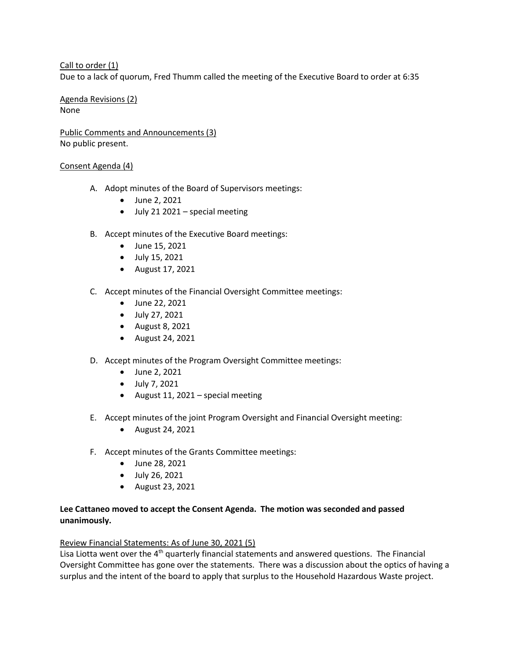Call to order (1)

Due to a lack of quorum, Fred Thumm called the meeting of the Executive Board to order at 6:35

Agenda Revisions (2) None

Public Comments and Announcements (3) No public present.

## Consent Agenda (4)

- A. Adopt minutes of the Board of Supervisors meetings:
	- June 2, 2021
	- $\bullet$  July 21 2021 special meeting
- B. Accept minutes of the Executive Board meetings:
	- June 15, 2021
	- July 15, 2021
	- August 17, 2021
- C. Accept minutes of the Financial Oversight Committee meetings:
	- June 22, 2021
	- July 27, 2021
	- August 8, 2021
	- August 24, 2021
- D. Accept minutes of the Program Oversight Committee meetings:
	- June 2, 2021
	- July 7, 2021
	- August 11, 2021 special meeting
- E. Accept minutes of the joint Program Oversight and Financial Oversight meeting:
	- August 24, 2021
- F. Accept minutes of the Grants Committee meetings:
	- June 28, 2021
	- July 26, 2021
	- August 23, 2021

# **Lee Cattaneo moved to accept the Consent Agenda. The motion was seconded and passed unanimously.**

## Review Financial Statements: As of June 30, 2021 (5)

Lisa Liotta went over the 4<sup>th</sup> quarterly financial statements and answered questions. The Financial Oversight Committee has gone over the statements. There was a discussion about the optics of having a surplus and the intent of the board to apply that surplus to the Household Hazardous Waste project.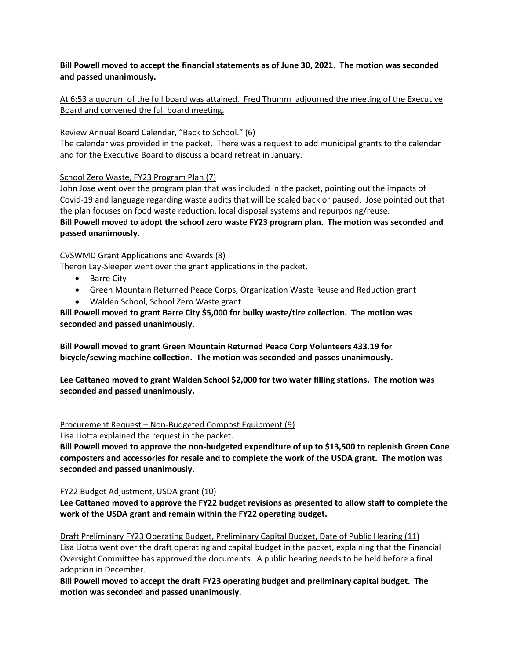# **Bill Powell moved to accept the financial statements as of June 30, 2021. The motion was seconded and passed unanimously.**

At 6:53 a quorum of the full board was attained. Fred Thumm adjourned the meeting of the Executive Board and convened the full board meeting.

### Review Annual Board Calendar, "Back to School." (6)

The calendar was provided in the packet. There was a request to add municipal grants to the calendar and for the Executive Board to discuss a board retreat in January.

## School Zero Waste, FY23 Program Plan (7)

John Jose went over the program plan that was included in the packet, pointing out the impacts of Covid-19 and language regarding waste audits that will be scaled back or paused. Jose pointed out that the plan focuses on food waste reduction, local disposal systems and repurposing/reuse. **Bill Powell moved to adopt the school zero waste FY23 program plan. The motion was seconded and passed unanimously.**

#### CVSWMD Grant Applications and Awards (8)

Theron Lay-Sleeper went over the grant applications in the packet.

- Barre City
- Green Mountain Returned Peace Corps, Organization Waste Reuse and Reduction grant
- Walden School, School Zero Waste grant

# **Bill Powell moved to grant Barre City \$5,000 for bulky waste/tire collection. The motion was seconded and passed unanimously.**

**Bill Powell moved to grant Green Mountain Returned Peace Corp Volunteers 433.19 for bicycle/sewing machine collection. The motion was seconded and passes unanimously.**

**Lee Cattaneo moved to grant Walden School \$2,000 for two water filling stations. The motion was seconded and passed unanimously.**

## Procurement Request – Non-Budgeted Compost Equipment (9)

Lisa Liotta explained the request in the packet.

**Bill Powell moved to approve the non-budgeted expenditure of up to \$13,500 to replenish Green Cone composters and accessories for resale and to complete the work of the USDA grant. The motion was seconded and passed unanimously.**

## FY22 Budget Adjustment, USDA grant (10)

**Lee Cattaneo moved to approve the FY22 budget revisions as presented to allow staff to complete the work of the USDA grant and remain within the FY22 operating budget.**

Draft Preliminary FY23 Operating Budget, Preliminary Capital Budget, Date of Public Hearing (11) Lisa Liotta went over the draft operating and capital budget in the packet, explaining that the Financial Oversight Committee has approved the documents. A public hearing needs to be held before a final adoption in December.

**Bill Powell moved to accept the draft FY23 operating budget and preliminary capital budget. The motion was seconded and passed unanimously.**